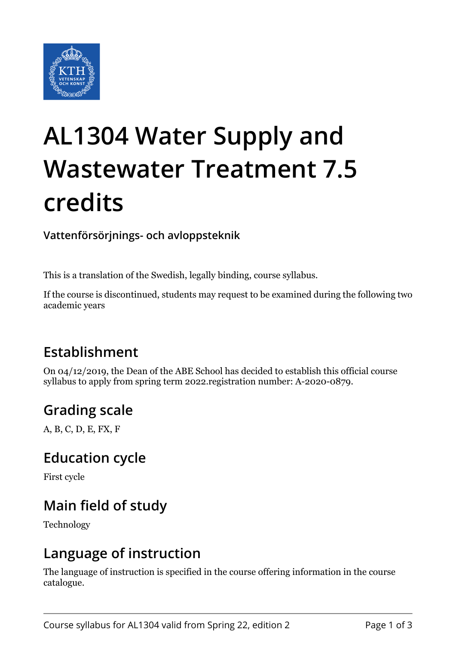

# **AL1304 Water Supply and Wastewater Treatment 7.5 credits**

**Vattenförsörjnings- och avloppsteknik**

This is a translation of the Swedish, legally binding, course syllabus.

If the course is discontinued, students may request to be examined during the following two academic years

## **Establishment**

On 04/12/2019, the Dean of the ABE School has decided to establish this official course syllabus to apply from spring term 2022.registration number: A-2020-0879.

## **Grading scale**

A, B, C, D, E, FX, F

#### **Education cycle**

First cycle

## **Main field of study**

Technology

#### **Language of instruction**

The language of instruction is specified in the course offering information in the course catalogue.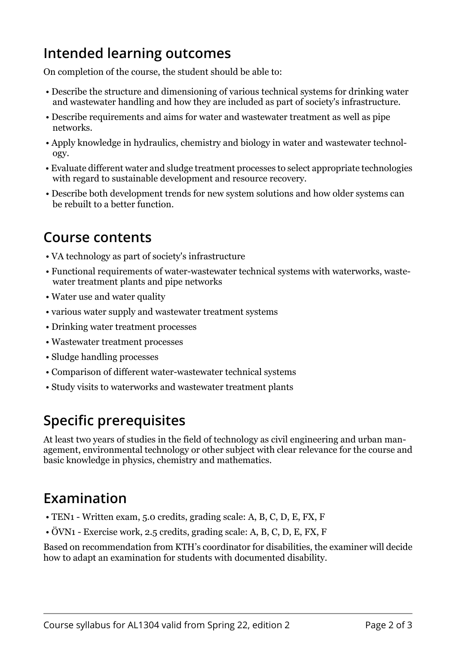## **Intended learning outcomes**

On completion of the course, the student should be able to:

- Describe the structure and dimensioning of various technical systems for drinking water and wastewater handling and how they are included as part of society's infrastructure.
- Describe requirements and aims for water and wastewater treatment as well as pipe networks.
- Apply knowledge in hydraulics, chemistry and biology in water and wastewater technology.
- Evaluate different water and sludge treatment processes to select appropriate technologies with regard to sustainable development and resource recovery.
- Describe both development trends for new system solutions and how older systems can be rebuilt to a better function.

#### **Course contents**

- VA technology as part of society's infrastructure
- Functional requirements of water-wastewater technical systems with waterworks, wastewater treatment plants and pipe networks
- Water use and water quality
- various water supply and wastewater treatment systems
- Drinking water treatment processes
- Wastewater treatment processes
- Sludge handling processes
- Comparison of different water-wastewater technical systems
- Study visits to waterworks and wastewater treatment plants

## **Specific prerequisites**

At least two years of studies in the field of technology as civil engineering and urban management, environmental technology or other subject with clear relevance for the course and basic knowledge in physics, chemistry and mathematics.

## **Examination**

- TEN1 Written exam, 5.0 credits, grading scale: A, B, C, D, E, FX, F
- ÖVN1 Exercise work, 2.5 credits, grading scale: A, B, C, D, E, FX, F

Based on recommendation from KTH's coordinator for disabilities, the examiner will decide how to adapt an examination for students with documented disability.